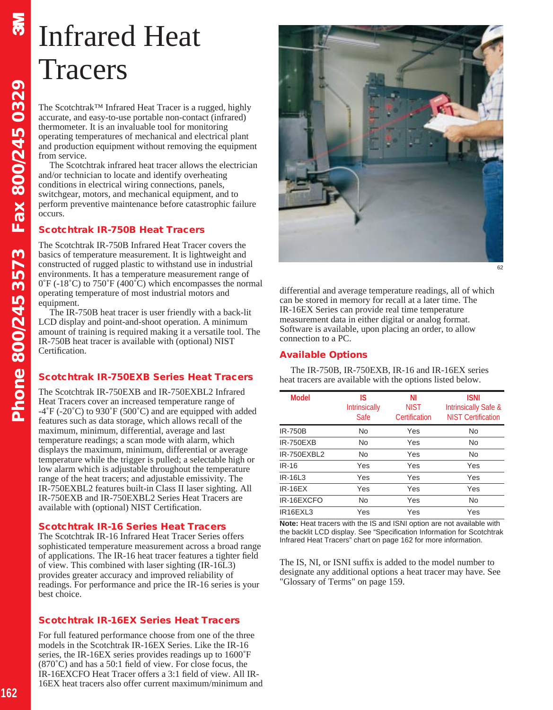# <sup>3</sup>Infrared Heat Tracers

The Scotchtrak™ Infrared Heat Tracer is a rugged, highly accurate, and easy-to-use portable non-contact (infrared) thermometer. It is an invaluable tool for monitoring operating temperatures of mechanical and electrical plant and production equipment without removing the equipment from service.

The Scotchtrak infrared heat tracer allows the electrician and/or technician to locate and identify overheating conditions in electrical wiring connections, panels, switchgear, motors, and mechanical equipment, and to perform preventive maintenance before catastrophic failure occurs.

## **Scotchtrak IR-750B Heat Tracers**

The Scotchtrak IR-750B Infrared Heat Tracer covers the basics of temperature measurement. It is lightweight and constructed of rugged plastic to withstand use in industrial environments. It has a temperature measurement range of  $0\textdegree$ F (-18 $\textdegree$ C) to 750 $\textdegree$ F (400 $\textdegree$ C) which encompasses the normal operating temperature of most industrial motors and equipment.

The IR-750B heat tracer is user friendly with a back-lit LCD display and point-and-shoot operation. A minimum amount of training is required making it a versatile tool. The IR-750B heat tracer is available with (optional) NIST Certification.

## **Scotchtrak IR-750EXB Series Heat Tracers**

The Scotchtrak IR-750EXB and IR-750EXBL2 Infrared Heat Tracers cover an increased temperature range of  $-4\text{°F}$  ( $-20\text{°C}$ ) to 930°F (500°C) and are equipped with added features such as data storage, which allows recall of the maximum, minimum, differential, average and last temperature readings; a scan mode with alarm, which displays the maximum, minimum, differential or average temperature while the trigger is pulled; a selectable high or low alarm which is adjustable throughout the temperature range of the heat tracers; and adjustable emissivity. The IR-750EXBL2 features built-in Class II laser sighting. All IR-750EXB and IR-750EXBL2 Series Heat Tracers are available with (optional) NIST Certification.

#### **Scotchtrak IR-16 Series Heat Tracers**

The Scotchtrak IR-16 Infrared Heat Tracer Series offers sophisticated temperature measurement across a broad range of applications. The IR-16 heat tracer features a tighter field of view. This combined with laser sighting (IR-16L3) provides greater accuracy and improved reliability of readings. For performance and price the IR-16 series is your best choice.

#### **Scotchtrak IR-16EX Series Heat Tracers**

For full featured performance choose from one of the three models in the Scotchtrak IR-16EX Series. Like the IR-16 series, the IR-16EX series provides readings up to 1600˚F (870˚C) and has a 50:1 field of view. For close focus, the IR-16EXCFO Heat Tracer offers a 3:1 field of view. All IR-16EX heat tracers also offer current maximum/minimum and



differential and average temperature readings, all of which can be stored in memory for recall at a later time. The IR-16EX Series can provide real time temperature measurement data in either digital or analog format. Software is available, upon placing an order, to allow connection to a PC.

#### **Available Options**

The IR-750B, IR-750EXB, IR-16 and IR-16EX series heat tracers are available with the options listed below.

| <b>Model</b>                      | IS<br><b>Intrinsically</b><br><b>Safe</b> | ΝI<br><b>NIST</b><br>Certification | <b>ISNI</b><br><b>Intrinsically Safe &amp;</b><br><b>NIST Certification</b> |
|-----------------------------------|-------------------------------------------|------------------------------------|-----------------------------------------------------------------------------|
| <b>IR-750B</b>                    | No                                        | Yes                                | <b>No</b>                                                                   |
| <b>IR-750EXB</b>                  | No                                        | Yes                                | <b>No</b>                                                                   |
| IR-750EXBL2                       | <b>No</b>                                 | Yes                                | <b>No</b>                                                                   |
| $IR-16$                           | Yes                                       | Yes                                | Yes                                                                         |
| IR-16L3                           | Yes                                       | Yes                                | Yes                                                                         |
| <b>IR-16EX</b>                    | Yes                                       | Yes                                | Yes                                                                         |
| IR-16EXCFO                        | No                                        | Yes                                | <b>No</b>                                                                   |
| IR <sub>16</sub> EXL <sub>3</sub> | Yes                                       | Yes                                | Yes                                                                         |

**Note:** Heat tracers with the IS and ISNI option are not available with the backlit LCD display. See "Specification Information for Scotchtrak Infrared Heat Tracers" chart on page 162 for more information.

The IS, NI, or ISNI suffix is added to the model number to designate any additional options a heat tracer may have. See "Glossary of Terms" on page 159.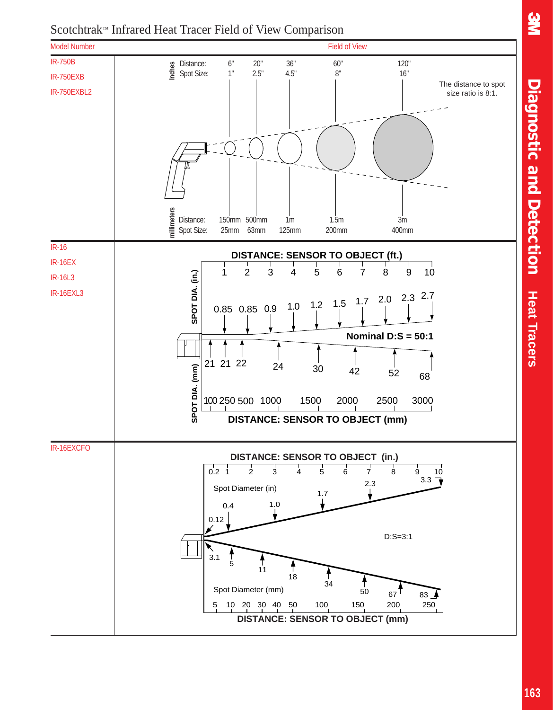

Scotchtrak™ Infrared Heat Tracer Field of View Comparison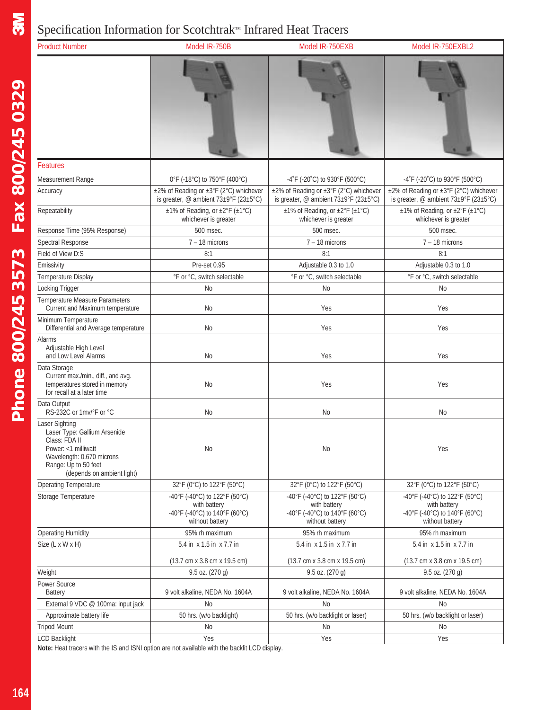## 3Specification Information for Scotchtrak™ Infrared Heat Tracers

| speemeanon information for seotential<br><u>mitatea rical riact</u><br><b>Product Number</b><br>Model IR-750B<br>Model IR-750EXB                                          |                                                                                                   |                                                                                                   |                                                                                                   |  |
|---------------------------------------------------------------------------------------------------------------------------------------------------------------------------|---------------------------------------------------------------------------------------------------|---------------------------------------------------------------------------------------------------|---------------------------------------------------------------------------------------------------|--|
|                                                                                                                                                                           |                                                                                                   |                                                                                                   | Model IR-750EXBL2                                                                                 |  |
|                                                                                                                                                                           |                                                                                                   |                                                                                                   |                                                                                                   |  |
| <b>Features</b>                                                                                                                                                           |                                                                                                   |                                                                                                   |                                                                                                   |  |
| Measurement Range                                                                                                                                                         | 0°F (-18°C) to 750°F (400°C)                                                                      | -4°F (-20°C) to 930°F (500°C)                                                                     | -4°F (-20°C) to 930°F (500°C)                                                                     |  |
| Accuracy                                                                                                                                                                  | ±2% of Reading or ±3°F (2°C) whichever<br>is greater, @ ambient 73±9°F (23±5°C)                   | ±2% of Reading or ±3°F (2°C) whichever<br>is greater, @ ambient 73±9°F (23±5°C)                   | ±2% of Reading or ±3°F (2°C) whichever<br>is greater, @ ambient 73±9°F (23±5°C)                   |  |
| Repeatability                                                                                                                                                             | ±1% of Reading, or ±2°F (±1°C)<br>whichever is greater                                            | ±1% of Reading, or ±2°F (±1°C)<br>whichever is greater                                            | ±1% of Reading, or ±2°F (±1°C)<br>whichever is greater                                            |  |
| Response Time (95% Response)                                                                                                                                              | 500 msec.                                                                                         | 500 msec.                                                                                         | 500 msec.                                                                                         |  |
| Spectral Response                                                                                                                                                         | $7 - 18$ microns                                                                                  | $7 - 18$ microns                                                                                  | $7 - 18$ microns                                                                                  |  |
| Field of View D:S                                                                                                                                                         | 8:1                                                                                               | 8:1                                                                                               | 8:1                                                                                               |  |
| Emissivity                                                                                                                                                                | Pre-set 0.95                                                                                      | Adjustable 0.3 to 1.0                                                                             | Adjustable 0.3 to 1.0                                                                             |  |
| <b>Temperature Display</b>                                                                                                                                                | °F or °C, switch selectable                                                                       | °F or °C, switch selectable                                                                       | °F or °C, switch selectable                                                                       |  |
| Locking Trigger                                                                                                                                                           | No                                                                                                | <b>No</b>                                                                                         | <b>No</b>                                                                                         |  |
| Temperature Measure Parameters<br>Current and Maximum temperature                                                                                                         | No                                                                                                | Yes                                                                                               | Yes                                                                                               |  |
| Minimum Temperature<br>Differential and Average temperature                                                                                                               | No                                                                                                | Yes                                                                                               | Yes                                                                                               |  |
| Alarms<br>Adjustable High Level<br>and Low Level Alarms                                                                                                                   | No                                                                                                | Yes                                                                                               | Yes                                                                                               |  |
| Data Storage<br>Current max./min., diff., and avg.<br>temperatures stored in memory<br>for recall at a later time                                                         | No                                                                                                | Yes                                                                                               | Yes                                                                                               |  |
| Data Output<br>RS-232C or 1mv/°F or °C                                                                                                                                    | No                                                                                                | No                                                                                                | No                                                                                                |  |
| Laser Sighting<br>Laser Type: Gallium Arsenide<br>Class: FDA II<br>Power: <1 milliwatt<br>Wavelength: 0.670 microns<br>Range: Up to 50 feet<br>(depends on ambient light) | No                                                                                                | No                                                                                                | Yes                                                                                               |  |
| <b>Operating Temperature</b>                                                                                                                                              | 32°F (0°C) to 122°F (50°C)                                                                        | 32°F (0°C) to 122°F (50°C)                                                                        | 32°F (0°C) to 122°F (50°C)                                                                        |  |
| Storage Temperature                                                                                                                                                       | -40°F (-40°C) to 122°F (50°C)<br>with battery<br>-40°F (-40°C) to 140°F (60°C)<br>without battery | -40°F (-40°C) to 122°F (50°C)<br>with battery<br>-40°F (-40°C) to 140°F (60°C)<br>without battery | -40°F (-40°C) to 122°F (50°C)<br>with battery<br>-40°F (-40°C) to 140°F (60°C)<br>without battery |  |
| <b>Operating Humidity</b>                                                                                                                                                 | 95% rh maximum                                                                                    | 95% rh maximum                                                                                    | 95% rh maximum                                                                                    |  |
| Size (L x W x H)                                                                                                                                                          | 5.4 in x 1.5 in x 7.7 in                                                                          | 5.4 in x 1.5 in x 7.7 in<br>5.4 in x 1.5 in x 7.7 in                                              |                                                                                                   |  |
|                                                                                                                                                                           | $(13.7 \text{ cm} \times 3.8 \text{ cm} \times 19.5 \text{ cm})$                                  | (13.7 cm x 3.8 cm x 19.5 cm)                                                                      | (13.7 cm x 3.8 cm x 19.5 cm)                                                                      |  |
| Weight                                                                                                                                                                    | $9.5$ oz. $(270 g)$                                                                               | $9.5$ oz. $(270 g)$                                                                               | $9.5$ oz. $(270 g)$                                                                               |  |
| Power Source<br><b>Battery</b>                                                                                                                                            | 9 volt alkaline, NEDA No. 1604A                                                                   | 9 volt alkaline, NEDA No. 1604A                                                                   | 9 volt alkaline, NEDA No. 1604A                                                                   |  |
| External 9 VDC @ 100ma: input jack                                                                                                                                        | <b>No</b>                                                                                         | <b>No</b>                                                                                         | <b>No</b>                                                                                         |  |
| Approximate battery life                                                                                                                                                  | 50 hrs. (w/o backlight)                                                                           | 50 hrs. (w/o backlight or laser)                                                                  | 50 hrs. (w/o backlight or laser)                                                                  |  |
| <b>Tripod Mount</b>                                                                                                                                                       | No                                                                                                | No                                                                                                | No                                                                                                |  |
| <b>LCD Backlight</b>                                                                                                                                                      | Yes                                                                                               | Yes                                                                                               | Yes                                                                                               |  |

**Note:** Heat tracers with the IS and ISNI option are not available with the backlit LCD display.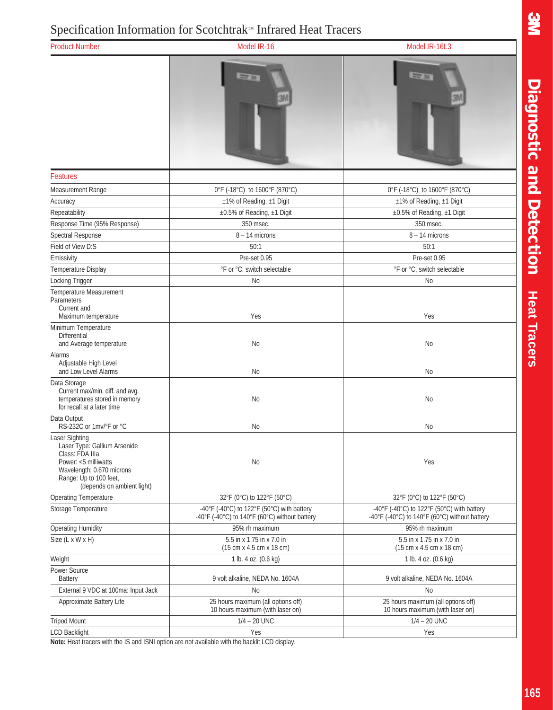## Specification Information for Scotchtrak™ Infrared Heat Tracers

| $\beta$ becomed to mortgaller to a scotcifical model of the real effects                                                                                                              |                                                                                             |                                                                                             |  |  |  |
|---------------------------------------------------------------------------------------------------------------------------------------------------------------------------------------|---------------------------------------------------------------------------------------------|---------------------------------------------------------------------------------------------|--|--|--|
| <b>Product Number</b>                                                                                                                                                                 | Model IR-16                                                                                 | Model IR-16L3                                                                               |  |  |  |
|                                                                                                                                                                                       | 22.91                                                                                       |                                                                                             |  |  |  |
| <b>Features</b>                                                                                                                                                                       |                                                                                             |                                                                                             |  |  |  |
| <b>Measurement Range</b>                                                                                                                                                              | 0°F (-18°C) to 1600°F (870°C)                                                               | 0°F (-18°C) to 1600°F (870°C)                                                               |  |  |  |
| Accuracy                                                                                                                                                                              | ±1% of Reading, ±1 Digit                                                                    | ±1% of Reading, ±1 Digit                                                                    |  |  |  |
| Repeatability                                                                                                                                                                         | ±0.5% of Reading, ±1 Digit                                                                  | ±0.5% of Reading, ±1 Digit                                                                  |  |  |  |
| Response Time (95% Response)                                                                                                                                                          | 350 msec.                                                                                   | 350 msec.                                                                                   |  |  |  |
| <b>Spectral Response</b>                                                                                                                                                              | $8 - 14$ microns                                                                            | $8 - 14$ microns                                                                            |  |  |  |
| Field of View D:S                                                                                                                                                                     | 50:1                                                                                        | 50:1                                                                                        |  |  |  |
| Emissivity                                                                                                                                                                            | Pre-set 0.95                                                                                | Pre-set 0.95                                                                                |  |  |  |
| Temperature Display                                                                                                                                                                   | °F or °C, switch selectable                                                                 | °F or °C, switch selectable                                                                 |  |  |  |
| Locking Trigger                                                                                                                                                                       | <b>No</b>                                                                                   | No                                                                                          |  |  |  |
| Temperature Measurement<br>Parameters<br>Current and<br>Maximum temperature                                                                                                           | Yes                                                                                         | Yes                                                                                         |  |  |  |
| Minimum Temperature<br>Differential<br>and Average temperature                                                                                                                        | No                                                                                          | No                                                                                          |  |  |  |
| Alarms<br>Adjustable High Level<br>and Low Level Alarms                                                                                                                               | No                                                                                          | No                                                                                          |  |  |  |
| Data Storage<br>Current max/min, diff. and avg.<br>temperatures stored in memory<br>for recall at a later time                                                                        | No                                                                                          | No                                                                                          |  |  |  |
| Data Output<br>RS-232C or 1mv/°F or °C                                                                                                                                                | No                                                                                          | No                                                                                          |  |  |  |
| <b>Laser Sighting</b><br>Laser Type: Gallium Arsenide<br>Class: FDA IIIa<br>Power: <5 milliwatts<br>Wavelength: 0.670 microns<br>Range: Up to 100 feet,<br>(depends on ambient light) | No                                                                                          | Yes                                                                                         |  |  |  |
| <b>Operating Temperature</b>                                                                                                                                                          | 32°F (0°C) to 122°F (50°C)                                                                  | 32°F (0°C) to 122°F (50°C)                                                                  |  |  |  |
| Storage Temperature                                                                                                                                                                   | -40°F (-40°C) to 122°F (50°C) with battery<br>-40°F (-40°C) to 140°F (60°C) without battery | -40°F (-40°C) to 122°F (50°C) with battery<br>-40°F (-40°C) to 140°F (60°C) without battery |  |  |  |
| <b>Operating Humidity</b>                                                                                                                                                             | 95% rh maximum                                                                              | 95% rh maximum                                                                              |  |  |  |
| Size (L x W x H)                                                                                                                                                                      | 5.5 in x 1.75 in x 7.0 in<br>(15 cm x 4.5 cm x 18 cm)                                       | 5.5 in x 1.75 in x 7.0 in<br>(15 cm x 4.5 cm x 18 cm)                                       |  |  |  |
| Weight                                                                                                                                                                                | 1 lb. 4 oz. (0.6 kg)                                                                        | 1 lb. 4 oz. (0.6 kg)                                                                        |  |  |  |
| Power Source<br><b>Battery</b>                                                                                                                                                        | 9 volt alkaline, NEDA No. 1604A                                                             | 9 volt alkaline, NEDA No. 1604A                                                             |  |  |  |
| External 9 VDC at 100ma: Input Jack                                                                                                                                                   | No                                                                                          | No                                                                                          |  |  |  |
| Approximate Battery Life                                                                                                                                                              | 25 hours maximum (all options off)<br>10 hours maximum (with laser on)                      | 25 hours maximum (all options off)<br>10 hours maximum (with laser on)                      |  |  |  |
| <b>Tripod Mount</b>                                                                                                                                                                   | $1/4 - 20$ UNC                                                                              | $1/4 - 20$ UNC                                                                              |  |  |  |
| <b>LCD Backlight</b>                                                                                                                                                                  | Yes                                                                                         | Yes                                                                                         |  |  |  |

**Note:** Heat tracers with the IS and ISNI option are not available with the backlit LCD display.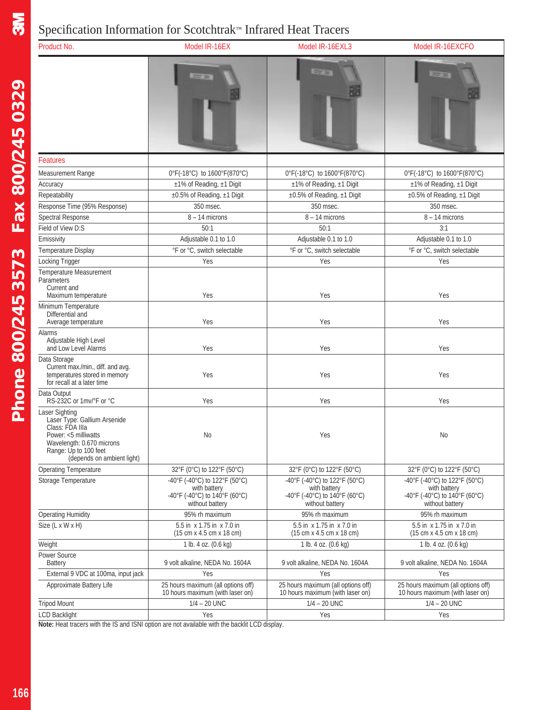## Specification Information for Scotchtrak™ Infrared Heat Tracers

| Product No.                                                                                                                                                                   | Model IR-16EX                                                                                     | Model IR-16EXL3                                                                                                | Model IR-16EXCFO                                                                                  |  |
|-------------------------------------------------------------------------------------------------------------------------------------------------------------------------------|---------------------------------------------------------------------------------------------------|----------------------------------------------------------------------------------------------------------------|---------------------------------------------------------------------------------------------------|--|
|                                                                                                                                                                               |                                                                                                   | <b>DV 34</b>                                                                                                   |                                                                                                   |  |
| <b>Features</b>                                                                                                                                                               |                                                                                                   |                                                                                                                |                                                                                                   |  |
| Measurement Range                                                                                                                                                             | 0°F(-18°C) to 1600°F(870°C)                                                                       | 0°F(-18°C) to 1600°F(870°C)                                                                                    | 0°F(-18°C) to 1600°F(870°C)                                                                       |  |
| Accuracy                                                                                                                                                                      | ±1% of Reading, ±1 Digit                                                                          | ±1% of Reading, ±1 Digit                                                                                       | ±1% of Reading, ±1 Digit                                                                          |  |
| Repeatability                                                                                                                                                                 | ±0.5% of Reading, ±1 Digit                                                                        | ±0.5% of Reading, ±1 Digit                                                                                     | ±0.5% of Reading, ±1 Digit                                                                        |  |
| Response Time (95% Response)                                                                                                                                                  | 350 msec.                                                                                         | 350 msec.                                                                                                      | 350 msec.                                                                                         |  |
| <b>Spectral Response</b>                                                                                                                                                      | $8 - 14$ microns                                                                                  | $8 - 14$ microns                                                                                               | $8 - 14$ microns                                                                                  |  |
| Field of View D:S                                                                                                                                                             | 50:1                                                                                              | 50:1                                                                                                           | 3:1                                                                                               |  |
| Emissivity                                                                                                                                                                    | Adjustable 0.1 to 1.0                                                                             | Adjustable 0.1 to 1.0                                                                                          | Adjustable 0.1 to 1.0                                                                             |  |
| Temperature Display                                                                                                                                                           | °F or °C, switch selectable                                                                       | °F or °C, switch selectable                                                                                    | °F or °C, switch selectable                                                                       |  |
| <b>Locking Trigger</b>                                                                                                                                                        | Yes                                                                                               | Yes                                                                                                            | Yes                                                                                               |  |
| <b>Temperature Measurement</b><br>Parameters<br>Current and<br>Maximum temperature                                                                                            | Yes                                                                                               | Yes                                                                                                            | Yes                                                                                               |  |
| Minimum Temperature<br>Differential and<br>Average temperature                                                                                                                | Yes                                                                                               | Yes                                                                                                            | Yes                                                                                               |  |
| Alarms<br>Adjustable High Level<br>and Low Level Alarms                                                                                                                       | Yes                                                                                               | Yes                                                                                                            | Yes                                                                                               |  |
| Data Storage<br>Current max./min., diff. and avg.<br>temperatures stored in memory<br>for recall at a later time                                                              | Yes                                                                                               | Yes                                                                                                            | Yes                                                                                               |  |
| Data Output<br>RS-232C or 1mv/°F or °C                                                                                                                                        | Yes                                                                                               | Yes                                                                                                            | Yes                                                                                               |  |
| Laser Sighting<br>Laser Type: Gallium Arsenide<br>Class: FDA IIIa<br>Power: <5 milliwatts<br>Wavelength: 0.670 microns<br>Range: Up to 100 feet<br>(depends on ambient light) | No                                                                                                | Yes                                                                                                            | No                                                                                                |  |
| <b>Operating Temperature</b>                                                                                                                                                  | 32°F (0°C) to 122°F (50°C)                                                                        | 32°F (0°C) to 122°F (50°C)                                                                                     | 32°F (0°C) to 122°F (50°C)                                                                        |  |
| Storage Temperature                                                                                                                                                           | -40°F (-40°C) to 122°F (50°C)<br>with battery<br>-40°F (-40°C) to 140°F (60°C)<br>without battery | -40°F (-40°C) to 122°F (50°C)<br>with battery<br>-40°F (-40°C) to 140°F (60°C)<br>without battery              | -40°F (-40°C) to 122°F (50°C)<br>with battery<br>-40°F (-40°C) to 140°F (60°C)<br>without battery |  |
| <b>Operating Humidity</b>                                                                                                                                                     | 95% rh maximum                                                                                    | 95% rh maximum                                                                                                 | 95% rh maximum                                                                                    |  |
| Size (L x W x H)                                                                                                                                                              | 5.5 in x 1.75 in x 7.0 in<br>$(15 \text{ cm} \times 4.5 \text{ cm} \times 18 \text{ cm})$         | 5.5 in x 1.75 in x 7.0 in<br>5.5 in x 1.75 in x 7.0 in<br>(15 cm x 4.5 cm x 18 cm)<br>(15 cm x 4.5 cm x 18 cm) |                                                                                                   |  |
| Weight                                                                                                                                                                        | 1 lb. 4 oz. (0.6 kg)                                                                              | 1 lb. 4 oz. (0.6 kg)                                                                                           | 1 lb. 4 oz. (0.6 kg)                                                                              |  |
| Power Source<br><b>Battery</b>                                                                                                                                                | 9 volt alkaline, NEDA No. 1604A                                                                   | 9 volt alkaline, NEDA No. 1604A                                                                                | 9 volt alkaline, NEDA No. 1604A                                                                   |  |
| External 9 VDC at 100ma, input jack                                                                                                                                           | Yes                                                                                               | Yes                                                                                                            | Yes                                                                                               |  |
| Approximate Battery Life                                                                                                                                                      | 25 hours maximum (all options off)<br>10 hours maximum (with laser on)                            | 25 hours maximum (all options off)<br>10 hours maximum (with laser on)                                         | 25 hours maximum (all options off)<br>10 hours maximum (with laser on)                            |  |
| <b>Tripod Mount</b>                                                                                                                                                           | $1/4 - 20$ UNC                                                                                    | $1/4 - 20$ UNC                                                                                                 | $1/4 - 20$ UNC                                                                                    |  |
| <b>LCD Backlight</b>                                                                                                                                                          | Yes                                                                                               | Yes                                                                                                            | Yes                                                                                               |  |

**Note:** Heat tracers with the IS and ISNI option are not available with the backlit LCD display.